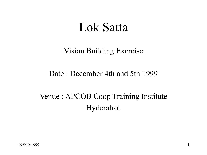# Lok Satta

#### Vision Building Exercise

#### Date : December 4th and 5th 1999

## Venue : APCOB Coop Training Institute Hyderabad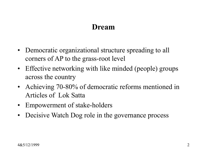#### Dream

- Democratic organizational structure spreading to all corners of AP to the grass-root level
- Effective networking with like minded (people) groups across the country
- Achieving 70-80% of democratic reforms mentioned in Articles of Lok Satta
- Empowerment of stake-holders
- Decisive Watch Dog role in the governance process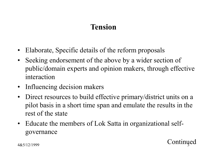## Tension

- Elaborate, Specific details of the reform proposals
- Seeking endorsement of the above by a wider section of public/domain experts and opinion makers, through effective interaction
- Influencing decision makers
- Direct resources to build effective primary/district units on a pilot basis in a short time span and emulate the results in the rest of the state

**Continued** 

• Educate the members of Lok Satta in organizational selfgovernance

4&5/12/1999 3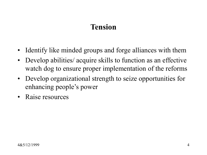## Tension

- Identify like minded groups and forge alliances with them
- Develop abilities/ acquire skills to function as an effective watch dog to ensure proper implementation of the reforms
- Develop organizational strength to seize opportunities for enhancing people's power
- Raise resources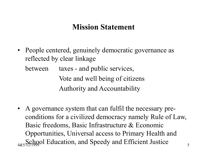#### Mission Statement

• People centered, genuinely democratic governance as reflected by clear linkage

between taxes - and public services, Vote and well being of citizens Authority and Accountability

4&5/12/1999 Education, and Speedy and Efficient Justice • A governance system that can fulfil the necessary preconditions for a civilized democracy namely Rule of Law, Basic freedoms, Basic Infrastructure & Economic Opportunities, Universal access to Primary Health and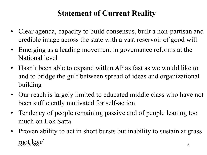## Statement of Current Reality

- Clear agenda, capacity to build consensus, built a non-partisan and credible image across the state with a vast reservoir of good will
- Emerging as a leading movement in governance reforms at the National level
- Hasn't been able to expand within AP as fast as we would like to and to bridge the gulf between spread of ideas and organizational building
- Our reach is largely limited to educated middle class who have not been sufficiently motivated for self-action
- Tendency of people remaining passive and of people leaning too much on Lok Satta
- $4&5/12/1999$  6 • Proven ability to act in short bursts but inability to sustain at grass root level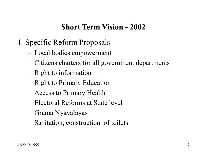#### Short Term Vision - 2002

- 1 Specific Reform Proposals
	- Local bodies empowerment
	- Citizens charters for all government departments
	- Right to information
	- Right to Primary Education
	- Access to Primary Health
	- Electoral Reforms at State level
	- Grama Nyayalayas
	- Sanitation, construction of toilets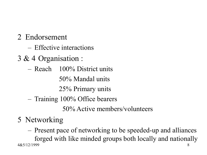- 2 Endorsement
	- Effective interactions
- 3 & 4 Organisation :
	- Reach 100% District units

50% Mandal units

25% Primary units

– Training 100% Office bearers

50% Active members/volunteers

## 5 Networking

4&5/12/1999 8 – Present pace of networking to be speeded-up and alliances forged with like minded groups both locally and nationally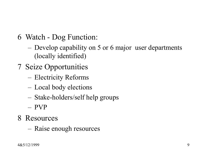- 6 Watch Dog Function:
	- Develop capability on 5 or 6 major user departments (locally identified)
- 7 Seize Opportunities
	- Electricity Reforms
	- Local body elections
	- Stake-holders/self help groups
	- PVP
- 8 Resources
	- Raise enough resources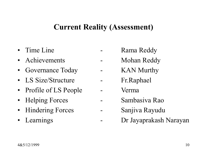#### Current Reality (Assessment)

- 
- 
- 
- LS Size/Structure Fr.Raphael
- Profile of LS People Verma
- 
- 
- 
- Time Line **-** Rama Reddy
- Achievements Mohan Reddy
- Governance Today KAN Murthy
	-
	-
- Helping Forces Sambasiva Rao
- Hindering Forces Sanjiva Rayudu
- Learnings Dr Jayaprakash Narayan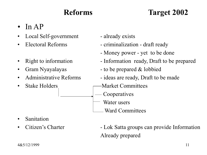## Reforms Target 2002

- In  $AP$
- Local Self-government already exists
- 
- 
- 
- 
- 
- 
- Electoral Reforms criminalization draft ready
	- Money power yet to be done
- Right to information Information ready, Draft to be prepared
	- Gram Nyayalayas to be prepared & lobbied
	- Administrative Reforms ideas are ready, Draft to be made
- Stake Holders Market Committees
	- Cooperatives
	- Water users
	- Ward Committees

- **Sanitation**
- - Citizen's Charter Lok Satta groups can provide Information Already prepared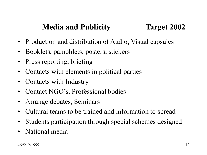## Media and Publicity Target 2002

- Production and distribution of Audio, Visual capsules
- Booklets, pamphlets, posters, stickers
- Press reporting, briefing
- Contacts with elements in political parties
- Contacts with Industry
- Contact NGO's, Professional bodies
- Arrange debates, Seminars
- Cultural teams to be trained and information to spread
- Students participation through special schemes designed
- National media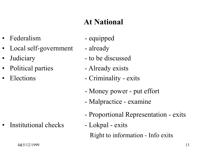## At National

- Federalism equipped
- Local self-government already
- 
- Political parties Already exists
- 

Institutional checks - Lokpal - exits

- 
- 
- Judiciary to be discussed
	-
	- Elections Criminality exits
		- Money power put effort
		- Malpractice examine
		- Proportional Representation exits
		- Right to information Info exits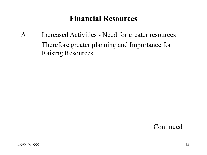### Financial Resources

A Increased Activities - Need for greater resources Therefore greater planning and Importance for Raising Resources

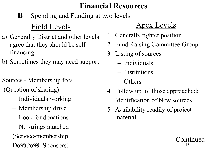## Financial Resources

## **B** Spending and Funding at two levels Field Levels

- a) Generally District and other levels agree that they should be self financing
- b) Sometimes they may need support
- Sources Membership fees
- (Question of sharing)
	- Individuals working
	- Membership drive
	- Look for donations
	- Donations- Sponsors) – No strings attached (Service-membership

## Apex Levels

- 1 Generally tighter position
- 2 Fund Raising Committee Group
- 3 Listing of sources
	- Individuals
	- Institutions
	- Others
- 4 Follow up of those approached; Identification of New sources

Continued

5 Availability readily of project material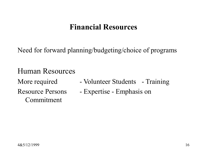#### Financial Resources

Need for forward planning/budgeting/choice of programs

#### Human Resources

Commitment

- More required Volunteer Students Training
- Resource Persons Expertise Emphasis on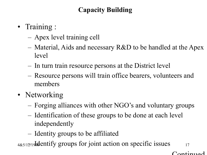#### Capacity Building

- Training :
	- Apex level training cell
	- Material, Aids and necessary R&D to be handled at the Apex level
	- In turn train resource persons at the District level
	- Resource persons will train office bearers, volunteers and members
- Networking
	- Forging alliances with other NGO's and voluntary groups
	- Identification of these groups to be done at each level independently
	- Identity groups to be affiliated

 $485/12719$  bedentify groups for joint action on specific issues  $17$ 

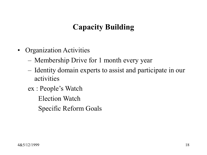## Capacity Building

- Organization Activities
	- Membership Drive for 1 month every year
	- Identity domain experts to assist and participate in our activities
	- ex : People's Watch
		- Election Watch
		- Specific Reform Goals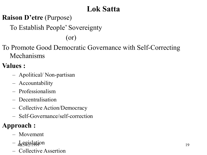## Lok Satta

#### Raison D'etre (Purpose)

To Establish People' Sovereignty

(or)

To Promote Good Democratic Governance with Self-Correcting Mechanisms

#### Values :

- Apolitical/ Non-partisan
- Accountability
- Professionalism
- Decentralisation
- Collective Action/Democracy
- Self-Governance/self-correction

#### Approach :

- Movement
- $-\frac{1}{48}$  $\frac{1}{2}$  $\frac{1}{2}$  $\frac{1}{2}$  $\frac{1}{2}$  $\frac{1}{9}$
- Collective Assertion